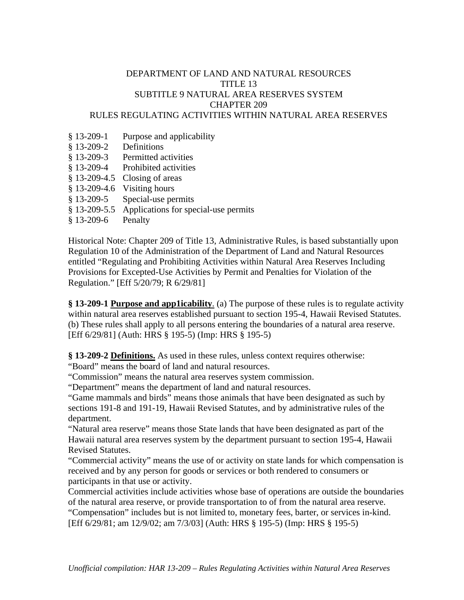## DEPARTMENT OF LAND AND NATURAL RESOURCES TITLE 13 SUBTITLE 9 NATURAL AREA RESERVES SYSTEM CHAPTER 209 RULES REGULATING ACTIVITIES WITHIN NATURAL AREA RESERVES

- § 13-209-1 Purpose and applicability
- § 13-209-2 Definitions
- § 13-209-3 Permitted activities
- § 13-209-4 Prohibited activities
- § 13-209-4.5 Closing of areas
- § 13-209-4.6 Visiting hours
- § 13-209-5 Special-use permits
- § 13-209-5.5 Applications for special-use permits
- § 13-209-6 Penalty

Historical Note: Chapter 209 of Title 13, Administrative Rules, is based substantially upon Regulation 10 of the Administration of the Department of Land and Natural Resources entitled "Regulating and Prohibiting Activities within Natural Area Reserves Including Provisions for Excepted-Use Activities by Permit and Penalties for Violation of the Regulation." [Eff 5/20/79; R 6/29/81]

**§ 13-209-1 Purpose and app1icability**. (a) The purpose of these rules is to regulate activity within natural area reserves established pursuant to section 195-4, Hawaii Revised Statutes. (b) These rules shall apply to all persons entering the boundaries of a natural area reserve. [Eff 6/29/81] (Auth: HRS § 195-5) (Imp: HRS § 195-5)

**§ 13-209-2 Definitions.** As used in these rules, unless context requires otherwise:

"Board" means the board of land and natural resources.

"Commission" means the natural area reserves system commission.

"Department" means the department of land and natural resources.

"Game mammals and birds" means those animals that have been designated as such by sections 191-8 and 191-19, Hawaii Revised Statutes, and by administrative rules of the department.

"Natural area reserve" means those State lands that have been designated as part of the Hawaii natural area reserves system by the department pursuant to section 195-4, Hawaii Revised Statutes.

"Commercial activity" means the use of or activity on state lands for which compensation is received and by any person for goods or services or both rendered to consumers or participants in that use or activity.

Commercial activities include activities whose base of operations are outside the boundaries of the natural area reserve, or provide transportation to of from the natural area reserve. "Compensation" includes but is not limited to, monetary fees, barter, or services in-kind. [Eff 6/29/81; am 12/9/02; am 7/3/03] (Auth: HRS § 195-5) (Imp: HRS § 195-5)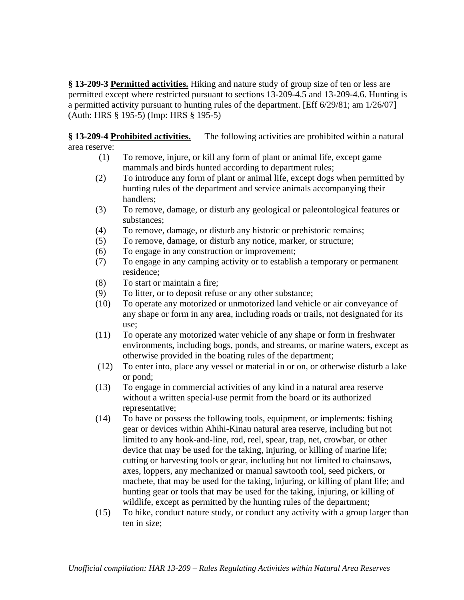**§ 13-209-3 Permitted activities.** Hiking and nature study of group size of ten or less are permitted except where restricted pursuant to sections 13-209-4.5 and 13-209-4.6. Hunting is a permitted activity pursuant to hunting rules of the department. [Eff 6/29/81; am 1/26/07] (Auth: HRS § 195-5) (Imp: HRS § 195-5)

**§ 13-209-4 Prohibited activities.** The following activities are prohibited within a natural area reserve:

- (1) To remove, injure, or kill any form of plant or animal life, except game mammals and birds hunted according to department rules;
- (2) To introduce any form of plant or animal life, except dogs when permitted by hunting rules of the department and service animals accompanying their handlers;
- (3) To remove, damage, or disturb any geological or paleontological features or substances;
- (4) To remove, damage, or disturb any historic or prehistoric remains;
- (5) To remove, damage, or disturb any notice, marker, or structure;
- (6) To engage in any construction or improvement;
- (7) To engage in any camping activity or to establish a temporary or permanent residence;
- (8) To start or maintain a fire;
- (9) To litter, or to deposit refuse or any other substance;
- (10) To operate any motorized or unmotorized land vehicle or air conveyance of any shape or form in any area, including roads or trails, not designated for its use;
- (11) To operate any motorized water vehicle of any shape or form in freshwater environments, including bogs, ponds, and streams, or marine waters, except as otherwise provided in the boating rules of the department;
- (12) To enter into, place any vessel or material in or on, or otherwise disturb a lake or pond;
- (13) To engage in commercial activities of any kind in a natural area reserve without a written special-use permit from the board or its authorized representative;
- (14) To have or possess the following tools, equipment, or implements: fishing gear or devices within Ahihi-Kinau natural area reserve, including but not limited to any hook-and-line, rod, reel, spear, trap, net, crowbar, or other device that may be used for the taking, injuring, or killing of marine life; cutting or harvesting tools or gear, including but not limited to chainsaws, axes, loppers, any mechanized or manual sawtooth tool, seed pickers, or machete, that may be used for the taking, injuring, or killing of plant life; and hunting gear or tools that may be used for the taking, injuring, or killing of wildlife, except as permitted by the hunting rules of the department;
- (15) To hike, conduct nature study, or conduct any activity with a group larger than ten in size;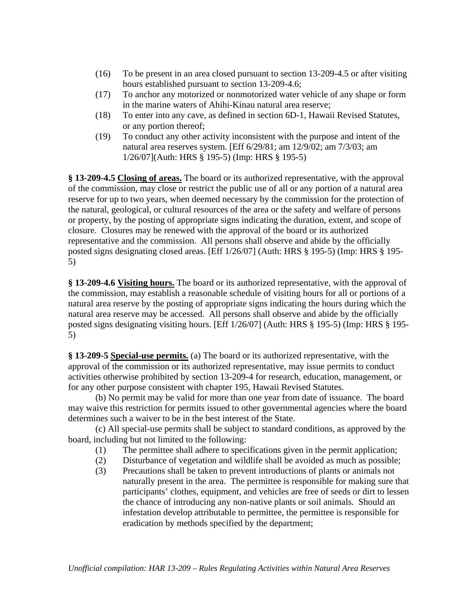- (16) To be present in an area closed pursuant to section 13-209-4.5 or after visiting hours established pursuant to section 13-209-4.6;
- (17) To anchor any motorized or nonmotorized water vehicle of any shape or form in the marine waters of Ahihi-Kinau natural area reserve;
- (18) To enter into any cave, as defined in section 6D-1, Hawaii Revised Statutes, or any portion thereof;
- (19) To conduct any other activity inconsistent with the purpose and intent of the natural area reserves system. [Eff 6/29/81; am 12/9/02; am 7/3/03; am 1/26/07](Auth: HRS § 195-5) (Imp: HRS § 195-5)

**§ 13-209-4.5 Closing of areas.** The board or its authorized representative, with the approval of the commission, may close or restrict the public use of all or any portion of a natural area reserve for up to two years, when deemed necessary by the commission for the protection of the natural, geological, or cultural resources of the area or the safety and welfare of persons or property, by the posting of appropriate signs indicating the duration, extent, and scope of closure. Closures may be renewed with the approval of the board or its authorized representative and the commission. All persons shall observe and abide by the officially posted signs designating closed areas. [Eff 1/26/07] (Auth: HRS § 195-5) (Imp: HRS § 195- 5)

**§ 13-209-4.6 Visiting hours.** The board or its authorized representative, with the approval of the commission, may establish a reasonable schedule of visiting hours for all or portions of a natural area reserve by the posting of appropriate signs indicating the hours during which the natural area reserve may be accessed. All persons shall observe and abide by the officially posted signs designating visiting hours. [Eff 1/26/07] (Auth: HRS § 195-5) (Imp: HRS § 195- 5)

**§ 13-209-5 Special-use permits.** (a) The board or its authorized representative, with the approval of the commission or its authorized representative, may issue permits to conduct activities otherwise prohibited by section 13-209-4 for research, education, management, or for any other purpose consistent with chapter 195, Hawaii Revised Statutes.

 (b) No permit may be valid for more than one year from date of issuance. The board may waive this restriction for permits issued to other governmental agencies where the board determines such a waiver to be in the best interest of the State.

(c) All special-use permits shall be subject to standard conditions, as approved by the board, including but not limited to the following:

- (1) The permittee shall adhere to specifications given in the permit application;
- (2) Disturbance of vegetation and wildlife shall be avoided as much as possible;
- (3) Precautions shall be taken to prevent introductions of plants or animals not naturally present in the area. The permittee is responsible for making sure that participants' clothes, equipment, and vehicles are free of seeds or dirt to lessen the chance of introducing any non-native plants or soil animals. Should an infestation develop attributable to permittee, the permittee is responsible for eradication by methods specified by the department;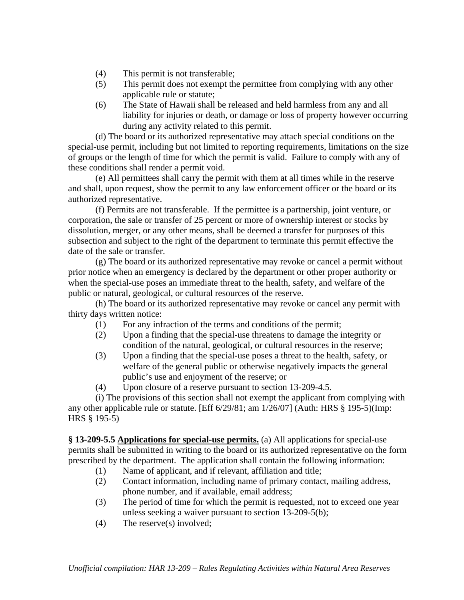- (4) This permit is not transferable;
- (5) This permit does not exempt the permittee from complying with any other applicable rule or statute;
- (6) The State of Hawaii shall be released and held harmless from any and all liability for injuries or death, or damage or loss of property however occurring during any activity related to this permit.

(d) The board or its authorized representative may attach special conditions on the special-use permit, including but not limited to reporting requirements, limitations on the size of groups or the length of time for which the permit is valid. Failure to comply with any of these conditions shall render a permit void.

(e) All permittees shall carry the permit with them at all times while in the reserve and shall, upon request, show the permit to any law enforcement officer or the board or its authorized representative.

 (f) Permits are not transferable. If the permittee is a partnership, joint venture, or corporation, the sale or transfer of 25 percent or more of ownership interest or stocks by dissolution, merger, or any other means, shall be deemed a transfer for purposes of this subsection and subject to the right of the department to terminate this permit effective the date of the sale or transfer.

(g) The board or its authorized representative may revoke or cancel a permit without prior notice when an emergency is declared by the department or other proper authority or when the special-use poses an immediate threat to the health, safety, and welfare of the public or natural, geological, or cultural resources of the reserve.

(h) The board or its authorized representative may revoke or cancel any permit with thirty days written notice:

- (1) For any infraction of the terms and conditions of the permit;
- (2) Upon a finding that the special-use threatens to damage the integrity or condition of the natural, geological, or cultural resources in the reserve;
- (3) Upon a finding that the special-use poses a threat to the health, safety, or welfare of the general public or otherwise negatively impacts the general public's use and enjoyment of the reserve; or
- (4) Upon closure of a reserve pursuant to section 13-209-4.5.

 (i) The provisions of this section shall not exempt the applicant from complying with any other applicable rule or statute. [Eff 6/29/81; am 1/26/07] (Auth: HRS § 195-5)(Imp: HRS § 195-5)

**§ 13-209-5.5 Applications for special-use permits.** (a) All applications for special-use permits shall be submitted in writing to the board or its authorized representative on the form prescribed by the department. The application shall contain the following information:

- (1) Name of applicant, and if relevant, affiliation and title;
- (2) Contact information, including name of primary contact, mailing address, phone number, and if available, email address;
- (3) The period of time for which the permit is requested, not to exceed one year unless seeking a waiver pursuant to section 13-209-5(b);
- (4) The reserve(s) involved;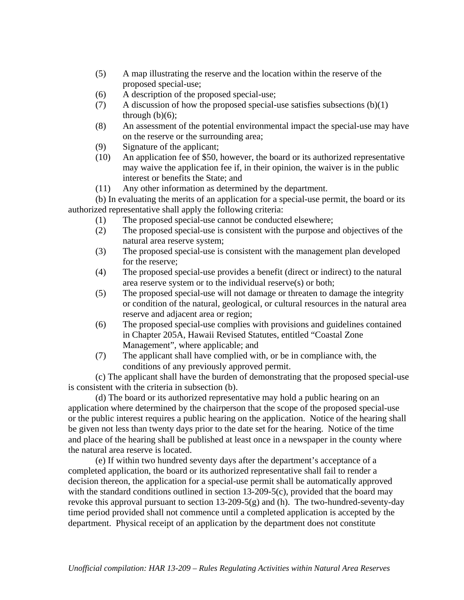- (5) A map illustrating the reserve and the location within the reserve of the proposed special-use;
- (6) A description of the proposed special-use;
- (7) A discussion of how the proposed special-use satisfies subsections  $(b)(1)$ through  $(b)(6)$ ;
- (8) An assessment of the potential environmental impact the special-use may have on the reserve or the surrounding area;
- (9) Signature of the applicant;
- (10) An application fee of \$50, however, the board or its authorized representative may waive the application fee if, in their opinion, the waiver is in the public interest or benefits the State; and
- (11) Any other information as determined by the department.

(b) In evaluating the merits of an application for a special-use permit, the board or its authorized representative shall apply the following criteria:

- (1) The proposed special-use cannot be conducted elsewhere;
- (2) The proposed special-use is consistent with the purpose and objectives of the natural area reserve system;
- (3) The proposed special-use is consistent with the management plan developed for the reserve;
- (4) The proposed special-use provides a benefit (direct or indirect) to the natural area reserve system or to the individual reserve(s) or both;
- (5) The proposed special-use will not damage or threaten to damage the integrity or condition of the natural, geological, or cultural resources in the natural area reserve and adjacent area or region;
- (6) The proposed special-use complies with provisions and guidelines contained in Chapter 205A, Hawaii Revised Statutes, entitled "Coastal Zone Management", where applicable; and
- (7) The applicant shall have complied with, or be in compliance with, the conditions of any previously approved permit.

(c) The applicant shall have the burden of demonstrating that the proposed special-use is consistent with the criteria in subsection (b).

(d) The board or its authorized representative may hold a public hearing on an application where determined by the chairperson that the scope of the proposed special-use or the public interest requires a public hearing on the application. Notice of the hearing shall be given not less than twenty days prior to the date set for the hearing. Notice of the time and place of the hearing shall be published at least once in a newspaper in the county where the natural area reserve is located.

 (e) If within two hundred seventy days after the department's acceptance of a completed application, the board or its authorized representative shall fail to render a decision thereon, the application for a special-use permit shall be automatically approved with the standard conditions outlined in section 13-209-5(c), provided that the board may revoke this approval pursuant to section  $13{\text -}209{\text -}5(g)$  and (h). The two-hundred-seventy-day time period provided shall not commence until a completed application is accepted by the department. Physical receipt of an application by the department does not constitute